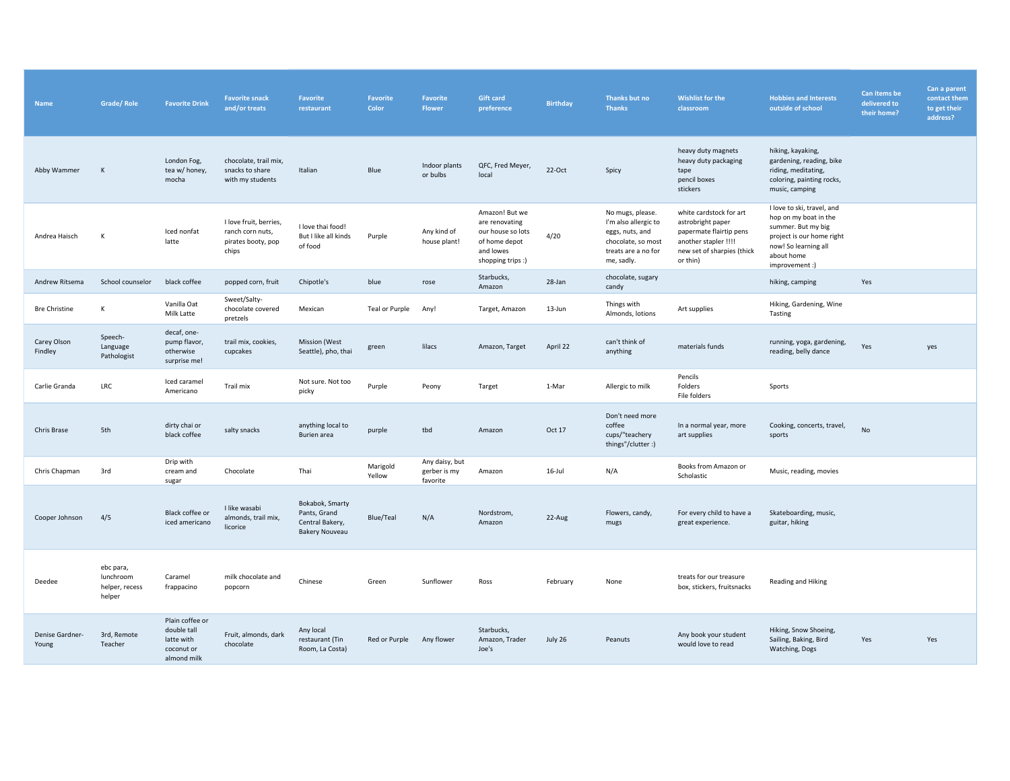| <b>Name</b>              | <b>Grade/Role</b>                                  | <b>Favorite Drink</b>                                                     | <b>Favorite snack</b><br>and/or treats                                    | Favorite<br>restaurant                                                      | Favorite<br>Color  | Favorite<br><b>Flower</b>                  | <b>Gift card</b><br>preference                                                                           | <b>Birthday</b> | Thanks but no<br><b>Thanks</b>                                                                                         | <b>Wishlist for the</b><br>classroom                                                                                                      | <b>Hobbies and Interests</b><br>outside of school                                                                                                             | Can items be<br>delivered to<br>their home? | Can a parent<br>contact them<br>to get their<br>address? |
|--------------------------|----------------------------------------------------|---------------------------------------------------------------------------|---------------------------------------------------------------------------|-----------------------------------------------------------------------------|--------------------|--------------------------------------------|----------------------------------------------------------------------------------------------------------|-----------------|------------------------------------------------------------------------------------------------------------------------|-------------------------------------------------------------------------------------------------------------------------------------------|---------------------------------------------------------------------------------------------------------------------------------------------------------------|---------------------------------------------|----------------------------------------------------------|
| Abby Wammer              | K                                                  | London Fog,<br>tea w/ honey,<br>mocha                                     | chocolate, trail mix,<br>snacks to share<br>with my students              | Italian                                                                     | Blue               | Indoor plants<br>or bulbs                  | QFC, Fred Meyer,<br>local                                                                                | $22-Oct$        | Spicy                                                                                                                  | heavy duty magnets<br>heavy duty packaging<br>tape<br>pencil boxes<br>stickers                                                            | hiking, kayaking,<br>gardening, reading, bike<br>riding, meditating,<br>coloring, painting rocks,<br>music, camping                                           |                                             |                                                          |
| Andrea Haisch            | К                                                  | Iced nonfat<br>latte                                                      | I love fruit, berries,<br>ranch corn nuts,<br>pirates booty, pop<br>chips | I love thai food!<br>But I like all kinds<br>of food                        | Purple             | Any kind of<br>house plant!                | Amazon! But we<br>are renovating<br>our house so lots<br>of home depot<br>and lowes<br>shopping trips :) | 4/20            | No mugs, please.<br>I'm also allergic to<br>eggs, nuts, and<br>chocolate, so most<br>treats are a no for<br>me, sadly. | white cardstock for art<br>astrobright paper<br>papermate flairtip pens<br>another stapler !!!!<br>new set of sharpies (thick<br>or thin) | I love to ski, travel, and<br>hop on my boat in the<br>summer. But my big<br>project is our home right<br>now! So learning all<br>about home<br>improvement:) |                                             |                                                          |
| Andrew Ritsema           | School counselor                                   | black coffee                                                              | popped corn, fruit                                                        | Chipotle's                                                                  | blue               | rose                                       | Starbucks,<br>Amazon                                                                                     | 28-Jan          | chocolate, sugary<br>candy                                                                                             |                                                                                                                                           | hiking, camping                                                                                                                                               | Yes                                         |                                                          |
| <b>Bre Christine</b>     | K                                                  | Vanilla Oat<br>Milk Latte                                                 | Sweet/Salty-<br>chocolate covered<br>pretzels                             | Mexican                                                                     | Teal or Purple     | Any!                                       | Target, Amazon                                                                                           | 13-Jun          | Things with<br>Almonds, lotions                                                                                        | Art supplies                                                                                                                              | Hiking, Gardening, Wine<br>Tasting                                                                                                                            |                                             |                                                          |
| Carey Olson<br>Findley   | Speech-<br>Language<br>Pathologist                 | decaf, one-<br>pump flavor,<br>otherwise<br>surprise me!                  | trail mix, cookies,<br>cupcakes                                           | <b>Mission</b> (West<br>Seattle), pho, thai                                 | green              | lilacs                                     | Amazon, Target                                                                                           | April 22        | can't think of<br>anything                                                                                             | materials funds                                                                                                                           | running, yoga, gardening,<br>reading, belly dance                                                                                                             | Yes                                         | yes                                                      |
| Carlie Granda            | LRC                                                | Iced caramel<br>Americano                                                 | Trail mix                                                                 | Not sure. Not too<br>picky                                                  | Purple             | Peony                                      | Target                                                                                                   | 1-Mar           | Allergic to milk                                                                                                       | Pencils<br>Folders<br>File folders                                                                                                        | Sports                                                                                                                                                        |                                             |                                                          |
| Chris Brase              | 5th                                                | dirty chai or<br>black coffee                                             | salty snacks                                                              | anything local to<br>Burien area                                            | purple             | tbd                                        | Amazon                                                                                                   | Oct 17          | Don't need more<br>coffee<br>cups/"teachery<br>things"/clutter:)                                                       | In a normal year, more<br>art supplies                                                                                                    | Cooking, concerts, travel,<br>sports                                                                                                                          | No                                          |                                                          |
| Chris Chapman            | 3rd                                                | Drip with<br>cream and<br>sugar                                           | Chocolate                                                                 | Thai                                                                        | Marigold<br>Yellow | Any daisy, but<br>gerber is my<br>favorite | Amazon                                                                                                   | 16-Jul          | N/A                                                                                                                    | Books from Amazon or<br>Scholastic                                                                                                        | Music, reading, movies                                                                                                                                        |                                             |                                                          |
| Cooper Johnson           | 4/5                                                | Black coffee or<br>iced americano                                         | I like wasabi<br>almonds, trail mix,<br>licorice                          | Bokabok, Smarty<br>Pants, Grand<br>Central Bakery,<br><b>Bakery Nouveau</b> | Blue/Teal          | N/A                                        | Nordstrom,<br>Amazon                                                                                     | 22-Aug          | Flowers, candy,<br>mugs                                                                                                | For every child to have a<br>great experience.                                                                                            | Skateboarding, music,<br>guitar, hiking                                                                                                                       |                                             |                                                          |
| Deedee                   | ebc para,<br>lunchroom<br>helper, recess<br>helper | Caramel<br>frappacino                                                     | milk chocolate and<br>popcorn                                             | Chinese                                                                     | Green              | Sunflower                                  | Ross                                                                                                     | February        | None                                                                                                                   | treats for our treasure<br>box, stickers, fruitsnacks                                                                                     | Reading and Hiking                                                                                                                                            |                                             |                                                          |
| Denise Gardner-<br>Young | 3rd, Remote<br>Teacher                             | Plain coffee or<br>double tall<br>latte with<br>coconut or<br>almond milk | Fruit, almonds, dark<br>chocolate                                         | Any local<br>restaurant (Tin<br>Room, La Costa)                             | Red or Purple      | Any flower                                 | Starbucks,<br>Amazon, Trader<br>Joe's                                                                    | July 26         | Peanuts                                                                                                                | Any book your student<br>would love to read                                                                                               | Hiking, Snow Shoeing,<br>Sailing, Baking, Bird<br>Watching, Dogs                                                                                              | Yes                                         | Yes                                                      |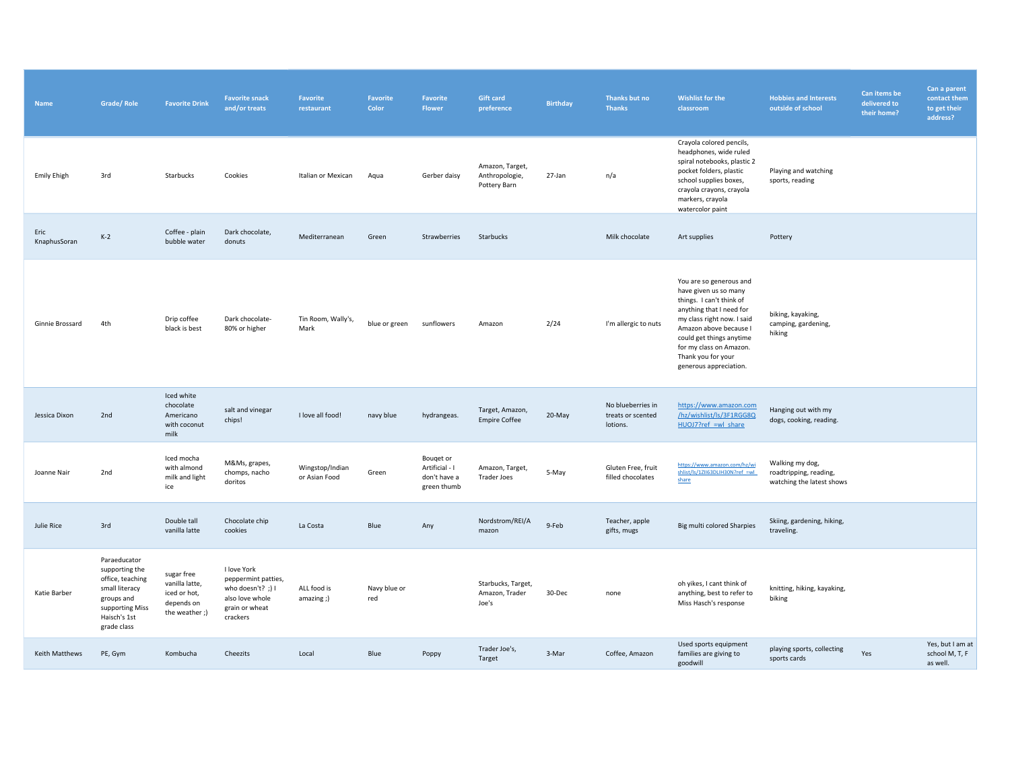| Name                 | Grade/Role                                                                                                                           | <b>Favorite Drink</b>                                                       | <b>Favorite snack</b><br>and/or treats                                                                     | <b>Favorite</b><br>restaurant    | <b>Favorite</b><br>Color | Favorite<br>Flower                                         | <b>Gift card</b><br>preference                    | <b>Birthday</b> | Thanks but no<br><b>Thanks</b>                     | <b>Wishlist for the</b><br>classroom                                                                                                                                                                                                                                    | <b>Hobbies and Interests</b><br>outside of school                      | Can items be<br>delivered to<br>their home? | Can a parent<br>contact them<br>to get their<br>address? |
|----------------------|--------------------------------------------------------------------------------------------------------------------------------------|-----------------------------------------------------------------------------|------------------------------------------------------------------------------------------------------------|----------------------------------|--------------------------|------------------------------------------------------------|---------------------------------------------------|-----------------|----------------------------------------------------|-------------------------------------------------------------------------------------------------------------------------------------------------------------------------------------------------------------------------------------------------------------------------|------------------------------------------------------------------------|---------------------------------------------|----------------------------------------------------------|
| <b>Emily Ehigh</b>   | 3rd                                                                                                                                  | Starbucks                                                                   | Cookies                                                                                                    | Italian or Mexican               | Aqua                     | Gerber daisy                                               | Amazon, Target,<br>Anthropologie,<br>Pottery Barn | 27-Jan          | n/a                                                | Crayola colored pencils,<br>headphones, wide ruled<br>spiral notebooks, plastic 2<br>pocket folders, plastic<br>school supplies boxes,<br>crayola crayons, crayola<br>markers, crayola<br>watercolor paint                                                              | Playing and watching<br>sports, reading                                |                                             |                                                          |
| Eric<br>KnaphusSoran | $K-2$                                                                                                                                | Coffee - plain<br>bubble water                                              | Dark chocolate,<br>donuts                                                                                  | Mediterranean                    | Green                    | Strawberries                                               | Starbucks                                         |                 | Milk chocolate                                     | Art supplies                                                                                                                                                                                                                                                            | Pottery                                                                |                                             |                                                          |
| Ginnie Brossard      | 4th                                                                                                                                  | Drip coffee<br>black is best                                                | Dark chocolate-<br>80% or higher                                                                           | Tin Room, Wally's,<br>Mark       | blue or green            | sunflowers                                                 | Amazon                                            | 2/24            | I'm allergic to nuts                               | You are so generous and<br>have given us so many<br>things. I can't think of<br>anything that I need for<br>my class right now. I said<br>Amazon above because I<br>could get things anytime<br>for my class on Amazon.<br>Thank you for your<br>generous appreciation. | biking, kayaking,<br>camping, gardening,<br>hiking                     |                                             |                                                          |
| Jessica Dixon        | 2nd                                                                                                                                  | Iced white<br>chocolate<br>Americano<br>with coconut<br>milk                | salt and vinegar<br>chips!                                                                                 | I love all food!                 | navy blue                | hydrangeas.                                                | Target, Amazon,<br><b>Empire Coffee</b>           | 20-May          | No blueberries in<br>treats or scented<br>lotions. | https://www.amazon.com<br>/hz/wishlist/ls/3F1RGG8Q<br>HUOJ7?ref =wl share                                                                                                                                                                                               | Hanging out with my<br>dogs, cooking, reading.                         |                                             |                                                          |
| Joanne Nair          | 2nd                                                                                                                                  | Iced mocha<br>with almond<br>milk and light<br>ice                          | M&Ms, grapes,<br>chomps, nacho<br>doritos                                                                  | Wingstop/Indian<br>or Asian Food | Green                    | Bouqet or<br>Artificial - I<br>don't have a<br>green thumb | Amazon, Target,<br><b>Trader Joes</b>             | 5-May           | Gluten Free, fruit<br>filled chocolates            | https://www.amazon.com/hz/wi<br>shlist/ls/1ZII63DLIH30N?ref =wl_<br>share                                                                                                                                                                                               | Walking my dog,<br>roadtripping, reading,<br>watching the latest shows |                                             |                                                          |
| Julie Rice           | 3rd                                                                                                                                  | Double tall<br>vanilla latte                                                | Chocolate chip<br>cookies                                                                                  | La Costa                         | Blue                     | Any                                                        | Nordstrom/REI/A<br>mazon                          | 9-Feb           | Teacher, apple<br>gifts, mugs                      | Big multi colored Sharpies                                                                                                                                                                                                                                              | Skiing, gardening, hiking,<br>traveling.                               |                                             |                                                          |
| Katie Barber         | Paraeducator<br>supporting the<br>office, teaching<br>small literacy<br>groups and<br>supporting Miss<br>Haisch's 1st<br>grade class | sugar free<br>vanilla latte,<br>iced or hot,<br>depends on<br>the weather;) | I love York<br>peppermint patties,<br>who doesn't? ;) $I$<br>also love whole<br>grain or wheat<br>crackers | ALL food is<br>amazing ;)        | Navy blue or<br>red      |                                                            | Starbucks, Target,<br>Amazon, Trader<br>Joe's     | 30-Dec          | none                                               | oh yikes, I cant think of<br>anything, best to refer to<br>Miss Hasch's response                                                                                                                                                                                        | knitting, hiking, kayaking,<br>biking                                  |                                             |                                                          |
| Keith Matthews       | PE, Gym                                                                                                                              | Kombucha                                                                    | Cheezits                                                                                                   | Local                            | Blue                     | Poppy                                                      | Trader Joe's,<br>Target                           | 3-Mar           | Coffee, Amazon                                     | Used sports equipment<br>families are giving to<br>goodwill                                                                                                                                                                                                             | playing sports, collecting<br>sports cards                             | Yes                                         | Yes, but I am at<br>school M, T, F<br>as well.           |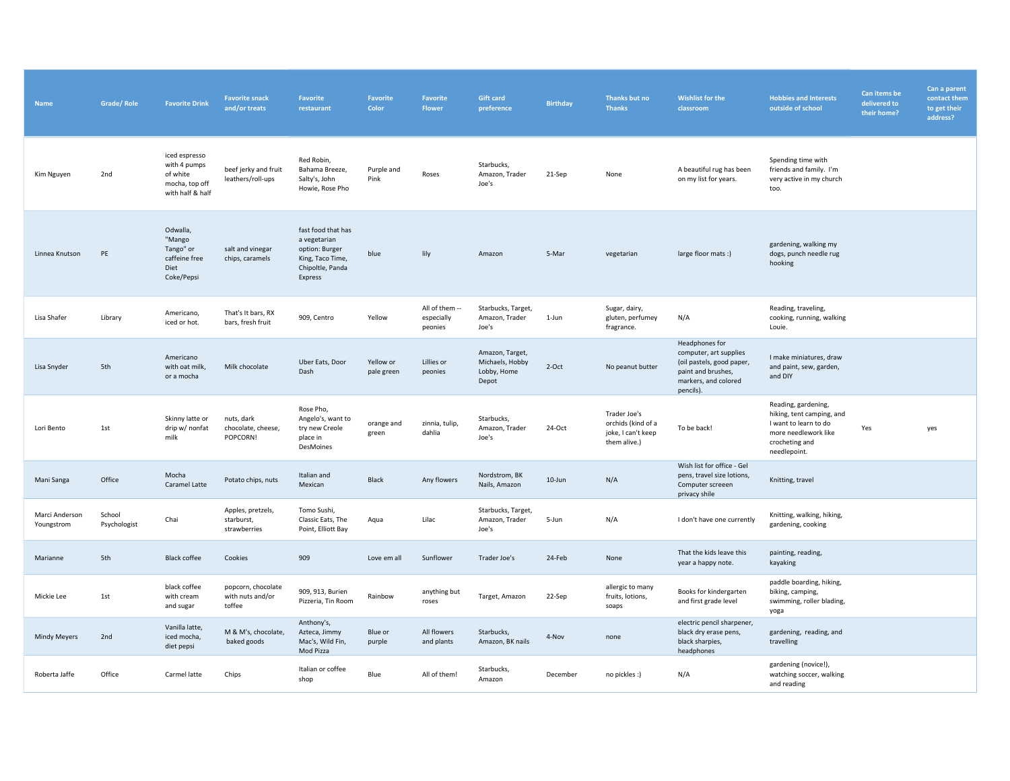| <b>Name</b>                  | <b>Grade/Role</b>      | <b>Favorite Drink</b>                                                           | <b>Favorite snack</b><br>and/or treats           | <b>Favorite</b><br>restaurant                                                                           | Favorite<br>Color       | Favorite<br>Flower                      | <b>Gift card</b><br>preference                             | <b>Birthday</b> | Thanks but no<br><b>Thanks</b>                                           | <b>Wishlist for the</b><br>classroom                                                                                             | <b>Hobbies and Interests</b><br>outside of school                                                                                   | Can items be<br>delivered to<br>their home? | Can a parent<br>contact them<br>to get their<br>address? |
|------------------------------|------------------------|---------------------------------------------------------------------------------|--------------------------------------------------|---------------------------------------------------------------------------------------------------------|-------------------------|-----------------------------------------|------------------------------------------------------------|-----------------|--------------------------------------------------------------------------|----------------------------------------------------------------------------------------------------------------------------------|-------------------------------------------------------------------------------------------------------------------------------------|---------------------------------------------|----------------------------------------------------------|
| Kim Nguyen                   | 2nd                    | iced espresso<br>with 4 pumps<br>of white<br>mocha, top off<br>with half & half | beef jerky and fruit<br>leathers/roll-ups        | Red Robin,<br>Bahama Breeze,<br>Salty's, John<br>Howie, Rose Pho                                        | Purple and<br>Pink      | Roses                                   | Starbucks,<br>Amazon, Trader<br>Joe's                      | 21-Sep          | None                                                                     | A beautiful rug has been<br>on my list for years.                                                                                | Spending time with<br>friends and family. I'm<br>very active in my church<br>too.                                                   |                                             |                                                          |
| Linnea Knutson               | PE                     | Odwalla,<br>"Mango<br>Tango" or<br>caffeine free<br>Diet<br>Coke/Pepsi          | salt and vinegar<br>chips, caramels              | fast food that has<br>a vegetarian<br>option: Burger<br>King, Taco Time,<br>Chipoltle, Panda<br>Express | blue                    | lily                                    | Amazon                                                     | 5-Mar           | vegetarian                                                               | large floor mats :)                                                                                                              | gardening, walking my<br>dogs, punch needle rug<br>hooking                                                                          |                                             |                                                          |
| Lisa Shafer                  | Library                | Americano,<br>iced or hot.                                                      | That's It bars, RX<br>bars, fresh fruit          | 909, Centro                                                                                             | Yellow                  | All of them --<br>especially<br>peonies | Starbucks, Target,<br>Amazon, Trader<br>Joe's              | 1-Jun           | Sugar, dairy,<br>gluten, perfumey<br>fragrance.                          | N/A                                                                                                                              | Reading, traveling,<br>cooking, running, walking<br>Louie.                                                                          |                                             |                                                          |
| Lisa Snyder                  | 5th                    | Americano<br>with oat milk,<br>or a mocha                                       | Milk chocolate                                   | Uber Eats, Door<br>Dash                                                                                 | Yellow or<br>pale green | Lillies or<br>peonies                   | Amazon, Target,<br>Michaels, Hobby<br>Lobby, Home<br>Depot | $2$ -Oct        | No peanut butter                                                         | Headphones for<br>computer, art supplies<br>(oil pastels, good paper,<br>paint and brushes,<br>markers, and colored<br>pencils). | I make miniatures, draw<br>and paint, sew, garden,<br>and DIY                                                                       |                                             |                                                          |
| Lori Bento                   | 1st                    | Skinny latte or<br>drip w/ nonfat<br>milk                                       | nuts, dark<br>chocolate, cheese,<br>POPCORN!     | Rose Pho,<br>Angelo's, want to<br>try new Creole<br>place in<br>DesMoines                               | orange and<br>green     | zinnia, tulip,<br>dahlia                | Starbucks,<br>Amazon, Trader<br>Joe's                      | 24-Oct          | Trader Joe's<br>orchids (kind of a<br>joke, I can't keep<br>them alive.) | To be back!                                                                                                                      | Reading, gardening,<br>hiking, tent camping, and<br>I want to learn to do<br>more needlework like<br>crocheting and<br>needlepoint. | Yes                                         | yes                                                      |
| Mani Sanga                   | Office                 | Mocha<br>Caramel Latte                                                          | Potato chips, nuts                               | Italian and<br>Mexican                                                                                  | Black                   | Any flowers                             | Nordstrom, BK<br>Nails, Amazon                             | $10$ -Jun       | N/A                                                                      | Wish list for office - Gel<br>pens, travel size lotions,<br>Computer screeen<br>privacy shile                                    | Knitting, travel                                                                                                                    |                                             |                                                          |
| Marci Anderson<br>Youngstrom | School<br>Psychologist | Chai                                                                            | Apples, pretzels,<br>starburst,<br>strawberries  | Tomo Sushi,<br>Classic Eats, The<br>Point, Elliott Bay                                                  | Aqua                    | Lilac                                   | Starbucks, Target,<br>Amazon, Trader<br>Joe's              | 5-Jun           | N/A                                                                      | I don't have one currently                                                                                                       | Knitting, walking, hiking,<br>gardening, cooking                                                                                    |                                             |                                                          |
| Marianne                     | 5th                    | <b>Black coffee</b>                                                             | Cookies                                          | 909                                                                                                     | Love em all             | Sunflower                               | Trader Joe's                                               | 24-Feb          | None                                                                     | That the kids leave this<br>year a happy note.                                                                                   | painting, reading,<br>kayaking                                                                                                      |                                             |                                                          |
| Mickie Lee                   | 1st                    | black coffee<br>with cream<br>and sugar                                         | popcorn, chocolate<br>with nuts and/or<br>toffee | 909, 913, Burien<br>Pizzeria, Tin Room                                                                  | Rainbow                 | anything but<br>roses                   | Target, Amazon                                             | 22-Sep          | allergic to many<br>fruits, lotions,<br>soaps                            | Books for kindergarten<br>and first grade level                                                                                  | paddle boarding, hiking,<br>biking, camping,<br>swimming, roller blading,<br>yoga                                                   |                                             |                                                          |
| <b>Mindy Meyers</b>          | 2nd                    | Vanilla latte,<br>iced mocha,<br>diet pepsi                                     | M & M's, chocolate,<br>baked goods               | Anthony's,<br>Azteca, Jimmy<br>Mac's, Wild Fin,<br>Mod Pizza                                            | Blue or<br>purple       | All flowers<br>and plants               | Starbucks,<br>Amazon, BK nails                             | 4-Nov           | none                                                                     | electric pencil sharpener,<br>black dry erase pens,<br>black sharpies,<br>headphones                                             | gardening, reading, and<br>travelling                                                                                               |                                             |                                                          |
| Roberta Jaffe                | Office                 | Carmel latte                                                                    | Chips                                            | Italian or coffee<br>shop                                                                               | Blue                    | All of them!                            | Starbucks,<br>Amazon                                       | December        | no pickles :)                                                            | N/A                                                                                                                              | gardening (novice!),<br>watching soccer, walking<br>and reading                                                                     |                                             |                                                          |